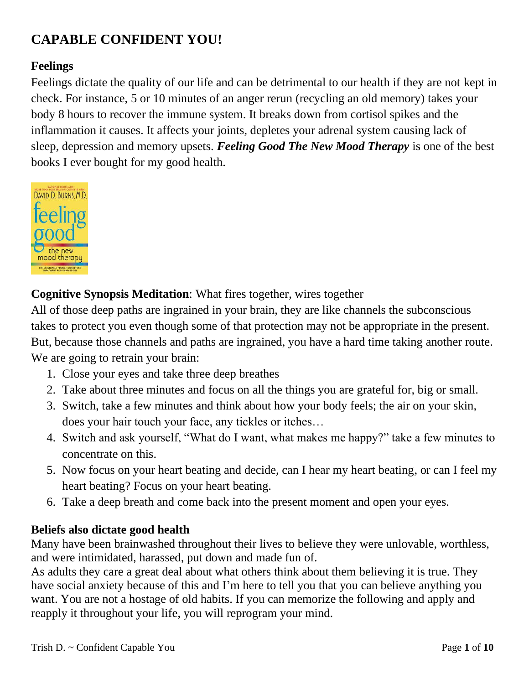# **CAPABLE CONFIDENT YOU!**

#### **Feelings**

Feelings dictate the quality of our life and can be detrimental to our health if they are not kept in check. For instance, 5 or 10 minutes of an anger rerun (recycling an old memory) takes your body 8 hours to recover the immune system. It breaks down from cortisol spikes and the inflammation it causes. It affects your joints, depletes your adrenal system causing lack of sleep, depression and memory upsets. *Feeling Good The New Mood Therapy* is one of the best books I ever bought for my good health.



**Cognitive Synopsis Meditation**: What fires together, wires together

All of those deep paths are ingrained in your brain, they are like channels the subconscious takes to protect you even though some of that protection may not be appropriate in the present. But, because those channels and paths are ingrained, you have a hard time taking another route. We are going to retrain your brain:

- 1. Close your eyes and take three deep breathes
- 2. Take about three minutes and focus on all the things you are grateful for, big or small.
- 3. Switch, take a few minutes and think about how your body feels; the air on your skin, does your hair touch your face, any tickles or itches…
- 4. Switch and ask yourself, "What do I want, what makes me happy?" take a few minutes to concentrate on this.
- 5. Now focus on your heart beating and decide, can I hear my heart beating, or can I feel my heart beating? Focus on your heart beating.
- 6. Take a deep breath and come back into the present moment and open your eyes.

#### **Beliefs also dictate good health**

Many have been brainwashed throughout their lives to believe they were unlovable, worthless, and were intimidated, harassed, put down and made fun of.

As adults they care a great deal about what others think about them believing it is true. They have social anxiety because of this and I'm here to tell you that you can believe anything you want. You are not a hostage of old habits. If you can memorize the following and apply and reapply it throughout your life, you will reprogram your mind.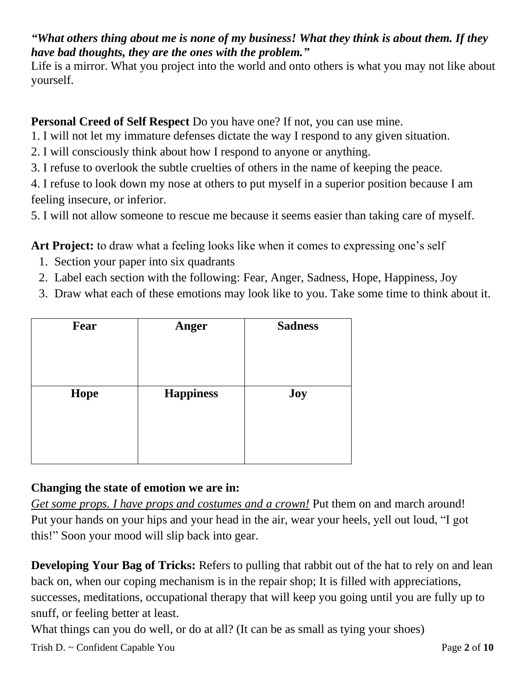#### *"What others thing about me is none of my business! What they think is about them. If they have bad thoughts, they are the ones with the problem."*

Life is a mirror. What you project into the world and onto others is what you may not like about yourself.

#### **Personal Creed of Self Respect** Do you have one? If not, you can use mine.

- 1. I will not let my immature defenses dictate the way I respond to any given situation.
- 2. I will consciously think about how I respond to anyone or anything.
- 3. I refuse to overlook the subtle cruelties of others in the name of keeping the peace.

4. I refuse to look down my nose at others to put myself in a superior position because I am feeling insecure, or inferior.

5. I will not allow someone to rescue me because it seems easier than taking care of myself.

**Art Project:** to draw what a feeling looks like when it comes to expressing one's self

- 1. Section your paper into six quadrants
- 2. Label each section with the following: Fear, Anger, Sadness, Hope, Happiness, Joy
- 3. Draw what each of these emotions may look like to you. Take some time to think about it.

| Fear | Anger            | <b>Sadness</b> |
|------|------------------|----------------|
| Hope | <b>Happiness</b> | Joy            |

#### **Changing the state of emotion we are in:**

*Get some props. I have props and costumes and a crown!* Put them on and march around! Put your hands on your hips and your head in the air, wear your heels, yell out loud, "I got this!" Soon your mood will slip back into gear.

**Developing Your Bag of Tricks:** Refers to pulling that rabbit out of the hat to rely on and lean back on, when our coping mechanism is in the repair shop; It is filled with appreciations, successes, meditations, occupational therapy that will keep you going until you are fully up to snuff, or feeling better at least.

What things can you do well, or do at all? (It can be as small as tying your shoes)

Trish D. ~ Confident Capable You Page 2 of 10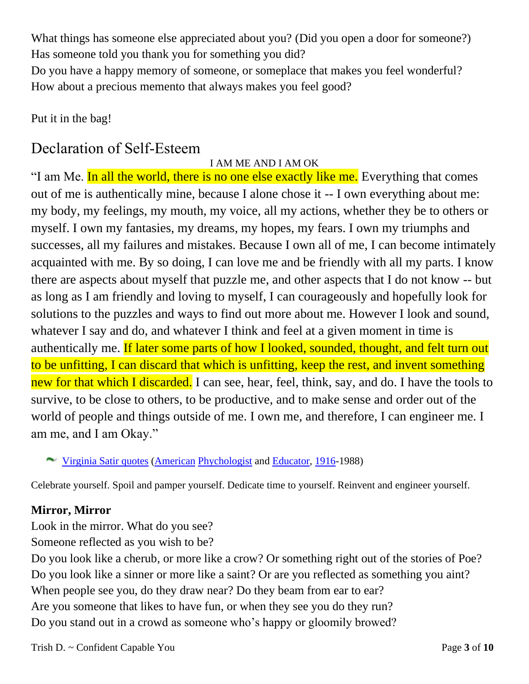What things has someone else appreciated about you? (Did you open a door for someone?) Has someone told you thank you for something you did? Do you have a happy memory of someone, or someplace that makes you feel wonderful? How about a precious memento that always makes you feel good?

Put it in the bag!

## Declaration of Self-Esteem

#### I AM ME AND I AM OK

"I am Me. In all the world, there is no one else exactly like me. Everything that comes out of me is authentically mine, because I alone chose it -- I own everything about me: my body, my feelings, my mouth, my voice, all my actions, whether they be to others or myself. I own my fantasies, my dreams, my hopes, my fears. I own my triumphs and successes, all my failures and mistakes. Because I own all of me, I can become intimately acquainted with me. By so doing, I can love me and be friendly with all my parts. I know there are aspects about myself that puzzle me, and other aspects that I do not know -- but as long as I am friendly and loving to myself, I can courageously and hopefully look for solutions to the puzzles and ways to find out more about me. However I look and sound, whatever I say and do, and whatever I think and feel at a given moment in time is authentically me. If later some parts of how I looked, sounded, thought, and felt turn out to be unfitting, I can discard that which is unfitting, keep the rest, and invent something new for that which I discarded. I can see, hear, feel, think, say, and do. I have the tools to survive, to be close to others, to be productive, and to make sense and order out of the world of people and things outside of me. I own me, and therefore, I can engineer me. I am me, and I am Okay."

[Virginia Satir quotes](http://thinkexist.com/quotes/virginia_satir/) [\(American](http://thinkexist.com/nationality/american_authors/) [Phychologist](http://thinkexist.com/occupation/famous_phychologists/) and [Educator,](http://thinkexist.com/occupation/famous_educators/) [1916-](http://thinkexist.com/birthday/june_26/)1988)

Celebrate yourself. Spoil and pamper yourself. Dedicate time to yourself. Reinvent and engineer yourself.

## **Mirror, Mirror**

Look in the mirror. What do you see? Someone reflected as you wish to be?

Do you look like a cherub, or more like a crow? Or something right out of the stories of Poe? Do you look like a sinner or more like a saint? Or are you reflected as something you aint? When people see you, do they draw near? Do they beam from ear to ear? Are you someone that likes to have fun, or when they see you do they run? Do you stand out in a crowd as someone who's happy or gloomily browed?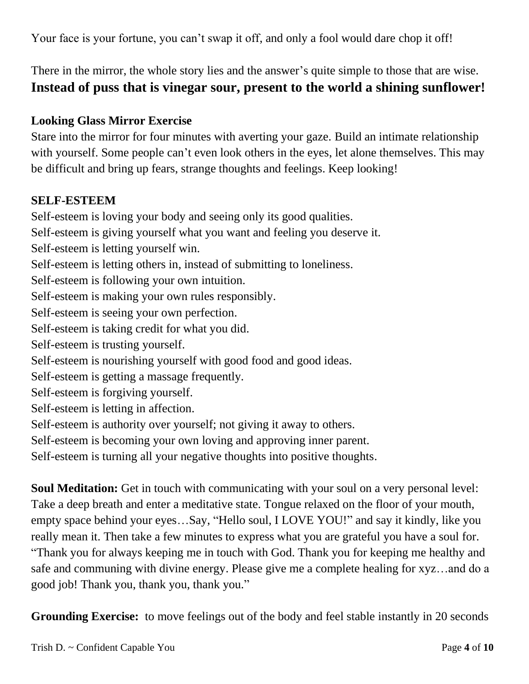Your face is your fortune, you can't swap it off, and only a fool would dare chop it off!

There in the mirror, the whole story lies and the answer's quite simple to those that are wise. **Instead of puss that is vinegar sour, present to the world a shining sunflower!**

#### **Looking Glass Mirror Exercise**

Stare into the mirror for four minutes with averting your gaze. Build an intimate relationship with yourself. Some people can't even look others in the eyes, let alone themselves. This may be difficult and bring up fears, strange thoughts and feelings. Keep looking!

#### **SELF-ESTEEM**

Self-esteem is loving your body and seeing only its good qualities. Self-esteem is giving yourself what you want and feeling you deserve it. Self-esteem is letting yourself win. Self-esteem is letting others in, instead of submitting to loneliness. Self-esteem is following your own intuition. Self-esteem is making your own rules responsibly. Self-esteem is seeing your own perfection. Self-esteem is taking credit for what you did. Self-esteem is trusting yourself. Self-esteem is nourishing yourself with good food and good ideas. Self-esteem is getting a massage frequently. Self-esteem is forgiving yourself. Self-esteem is letting in affection. Self-esteem is authority over yourself; not giving it away to others. Self-esteem is becoming your own loving and approving inner parent.

Self-esteem is turning all your negative thoughts into positive thoughts.

**Soul Meditation:** Get in touch with communicating with your soul on a very personal level: Take a deep breath and enter a meditative state. Tongue relaxed on the floor of your mouth, empty space behind your eyes…Say, "Hello soul, I LOVE YOU!" and say it kindly, like you really mean it. Then take a few minutes to express what you are grateful you have a soul for. "Thank you for always keeping me in touch with God. Thank you for keeping me healthy and safe and communing with divine energy. Please give me a complete healing for xyz…and do a good job! Thank you, thank you, thank you."

**Grounding Exercise:** to move feelings out of the body and feel stable instantly in 20 seconds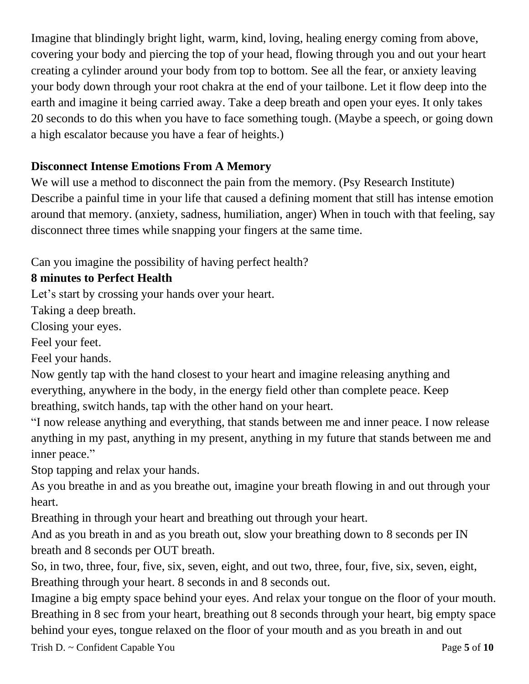Imagine that blindingly bright light, warm, kind, loving, healing energy coming from above, covering your body and piercing the top of your head, flowing through you and out your heart creating a cylinder around your body from top to bottom. See all the fear, or anxiety leaving your body down through your root chakra at the end of your tailbone. Let it flow deep into the earth and imagine it being carried away. Take a deep breath and open your eyes. It only takes 20 seconds to do this when you have to face something tough. (Maybe a speech, or going down a high escalator because you have a fear of heights.)

## **Disconnect Intense Emotions From A Memory**

We will use a method to disconnect the pain from the memory. (Psy Research Institute) Describe a painful time in your life that caused a defining moment that still has intense emotion around that memory. (anxiety, sadness, humiliation, anger) When in touch with that feeling, say disconnect three times while snapping your fingers at the same time.

Can you imagine the possibility of having perfect health?

## **8 minutes to Perfect Health**

Let's start by crossing your hands over your heart.

Taking a deep breath.

Closing your eyes.

Feel your feet.

Feel your hands.

Now gently tap with the hand closest to your heart and imagine releasing anything and everything, anywhere in the body, in the energy field other than complete peace. Keep breathing, switch hands, tap with the other hand on your heart.

"I now release anything and everything, that stands between me and inner peace. I now release anything in my past, anything in my present, anything in my future that stands between me and inner peace."

Stop tapping and relax your hands.

As you breathe in and as you breathe out, imagine your breath flowing in and out through your heart.

Breathing in through your heart and breathing out through your heart.

And as you breath in and as you breath out, slow your breathing down to 8 seconds per IN breath and 8 seconds per OUT breath.

So, in two, three, four, five, six, seven, eight, and out two, three, four, five, six, seven, eight, Breathing through your heart. 8 seconds in and 8 seconds out.

Imagine a big empty space behind your eyes. And relax your tongue on the floor of your mouth. Breathing in 8 sec from your heart, breathing out 8 seconds through your heart, big empty space behind your eyes, tongue relaxed on the floor of your mouth and as you breath in and out

Trish D. ~ Confident Capable You Page 5 of 10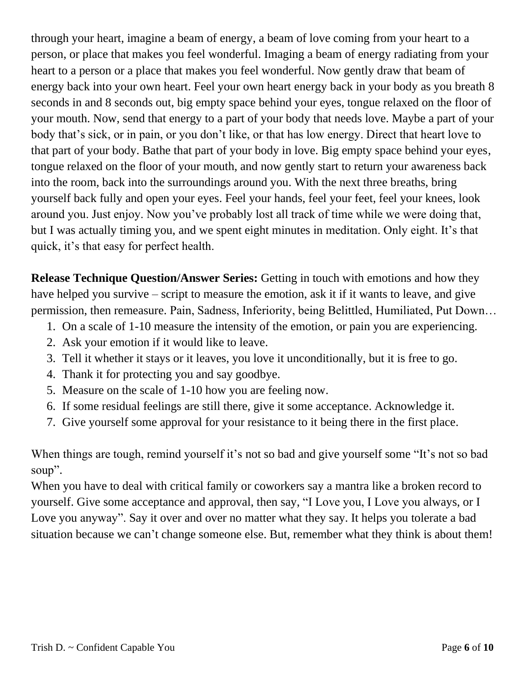through your heart, imagine a beam of energy, a beam of love coming from your heart to a person, or place that makes you feel wonderful. Imaging a beam of energy radiating from your heart to a person or a place that makes you feel wonderful. Now gently draw that beam of energy back into your own heart. Feel your own heart energy back in your body as you breath 8 seconds in and 8 seconds out, big empty space behind your eyes, tongue relaxed on the floor of your mouth. Now, send that energy to a part of your body that needs love. Maybe a part of your body that's sick, or in pain, or you don't like, or that has low energy. Direct that heart love to that part of your body. Bathe that part of your body in love. Big empty space behind your eyes, tongue relaxed on the floor of your mouth, and now gently start to return your awareness back into the room, back into the surroundings around you. With the next three breaths, bring yourself back fully and open your eyes. Feel your hands, feel your feet, feel your knees, look around you. Just enjoy. Now you've probably lost all track of time while we were doing that, but I was actually timing you, and we spent eight minutes in meditation. Only eight. It's that quick, it's that easy for perfect health.

**Release Technique Question/Answer Series:** Getting in touch with emotions and how they have helped you survive – script to measure the emotion, ask it if it wants to leave, and give permission, then remeasure. Pain, Sadness, Inferiority, being Belittled, Humiliated, Put Down…

- 1. On a scale of 1-10 measure the intensity of the emotion, or pain you are experiencing.
- 2. Ask your emotion if it would like to leave.
- 3. Tell it whether it stays or it leaves, you love it unconditionally, but it is free to go.
- 4. Thank it for protecting you and say goodbye.
- 5. Measure on the scale of 1-10 how you are feeling now.
- 6. If some residual feelings are still there, give it some acceptance. Acknowledge it.
- 7. Give yourself some approval for your resistance to it being there in the first place.

When things are tough, remind yourself it's not so bad and give yourself some "It's not so bad soup".

When you have to deal with critical family or coworkers say a mantra like a broken record to yourself. Give some acceptance and approval, then say, "I Love you, I Love you always, or I Love you anyway". Say it over and over no matter what they say. It helps you tolerate a bad situation because we can't change someone else. But, remember what they think is about them!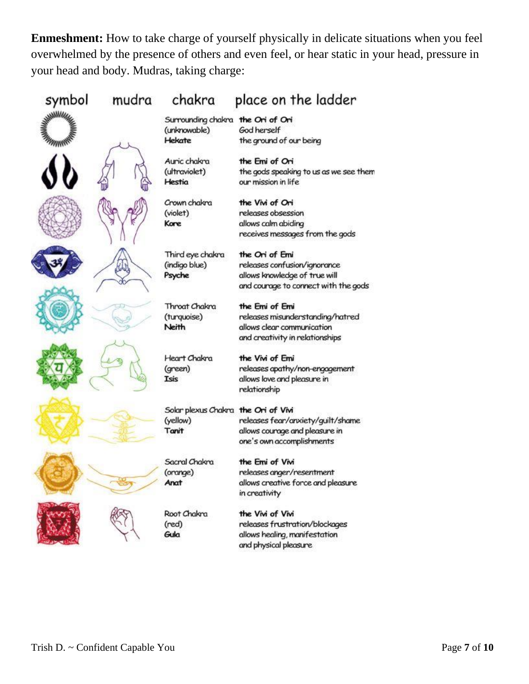**Enmeshment:** How to take charge of yourself physically in delicate situations when you feel overwhelmed by the presence of others and even feel, or hear static in your head, pressure in your head and body. Mudras, taking charge:

| symbol | mudra | chakra                                                   | place on the ladder                                                                                                     |
|--------|-------|----------------------------------------------------------|-------------------------------------------------------------------------------------------------------------------------|
|        |       | Surrounding chakra<br>(unknowable)<br><b>Hekate</b>      | the Ori of Ori<br>God herself<br>the ground of our being                                                                |
|        |       | Auric chakra<br>(ultraviolet)<br><b>Hestia</b>           | the Emi of Ori<br>the gods speaking to us as we see them<br>our mission in life                                         |
|        |       | Crown chakra<br>(violet)<br>Kore                         | the Vivi of Ori<br>releases obsession<br>allows calm abiding<br>receives messages from the gods                         |
|        |       | Third eye chakra<br>(indigo blue)<br>Psyche              | the Ori of Emi<br>releases confusion/ignorance<br>allows knowledge of true will<br>and courage to connect with the gods |
|        |       | Throat Chakra<br>(turquoise)<br>Neith                    | the Emi of Emi<br>releases misunderstanding/hatred<br>allows clear communication<br>and creativity in relationships     |
|        |       | Heart Chakra<br>(green)<br>Isis                          | the Vivi of Emi<br>releases apathy/non-engagement<br>allows love and pleasure in<br>relationship                        |
|        |       | Solar plexus Chakra the Ori of Vivi<br>(yellow)<br>Tanit | releases fear/anxiety/guilt/shame<br>allows courage and pleasure in<br>one's own accomplishments                        |
|        |       | Sacral Chakra<br>(orange)<br>Anat                        | the Emi of Vivi<br>releases anger/resentment<br>allows creative force and pleasure<br>in creativity                     |
|        |       | Root Chakra<br>(red)<br>Gula                             | the Vivi of Vivi<br>releases frustration/blockages<br>allows healing, manifestation<br>and physical pleasure            |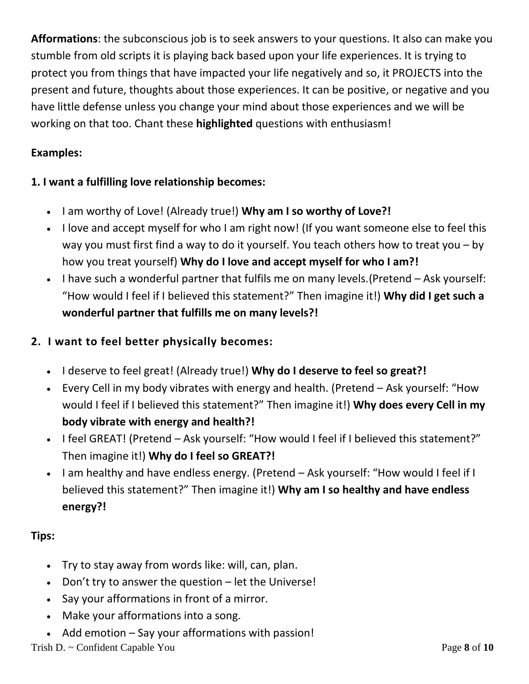**Afformations**: the subconscious job is to seek answers to your questions. It also can make you stumble from old scripts it is playing back based upon your life experiences. It is trying to protect you from things that have impacted your life negatively and so, it PROJECTS into the present and future, thoughts about those experiences. It can be positive, or negative and you have little defense unless you change your mind about those experiences and we will be working on that too. Chant these **highlighted** questions with enthusiasm!

#### **Examples:**

#### **1. I want a fulfilling love relationship becomes:**

- I am worthy of Love! (Already true!) **Why am I so worthy of Love?!**
- I love and accept myself for who I am right now! (If you want someone else to feel this way you must first find a way to do it yourself. You teach others how to treat you – by how you treat yourself) **Why do I love and accept myself for who I am?!**
- I have such a wonderful partner that fulfils me on many levels.(Pretend Ask yourself: "How would I feel if I believed this statement?" Then imagine it!) **Why did I get such a wonderful partner that fulfills me on many levels?!**

#### **2. I want to feel better physically becomes:**

- I deserve to feel great! (Already true!) **Why do I deserve to feel so great?!**
- Every Cell in my body vibrates with energy and health. (Pretend Ask yourself: "How would I feel if I believed this statement?" Then imagine it!) **Why does every Cell in my body vibrate with energy and health?!**
- I feel GREAT! (Pretend Ask yourself: "How would I feel if I believed this statement?" Then imagine it!) **Why do I feel so GREAT?!**
- I am healthy and have endless energy. (Pretend Ask yourself: "How would I feel if I believed this statement?" Then imagine it!) **Why am I so healthy and have endless energy?!**

#### **Tips:**

- Try to stay away from words like: will, can, plan.
- Don't try to answer the question let the Universe!
- Say your afformations in front of a mirror.
- Make your afformations into a song.
- Add emotion Say your afformations with passion!

Trish D. ~ Confident Capable You Page 8 of 10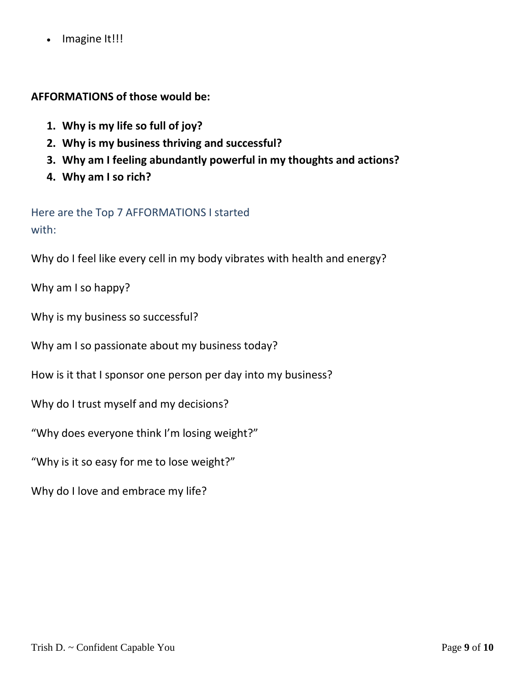Imagine It!!!

**AFFORMATIONS of those would be:**

- **1. Why is my life so full of joy?**
- **2. Why is my business thriving and successful?**
- **3. Why am I feeling abundantly powerful in my thoughts and actions?**
- **4. Why am I so rich?**

Here are the Top 7 AFFORMATIONS I started with:

Why do I feel like every cell in my body vibrates with health and energy?

Why am I so happy?

Why is my business so successful?

Why am I so passionate about my business today?

How is it that I sponsor one person per day into my business?

Why do I trust myself and my decisions?

"Why does everyone think I'm losing weight?"

"Why is it so easy for me to lose weight?"

Why do I love and embrace my life?